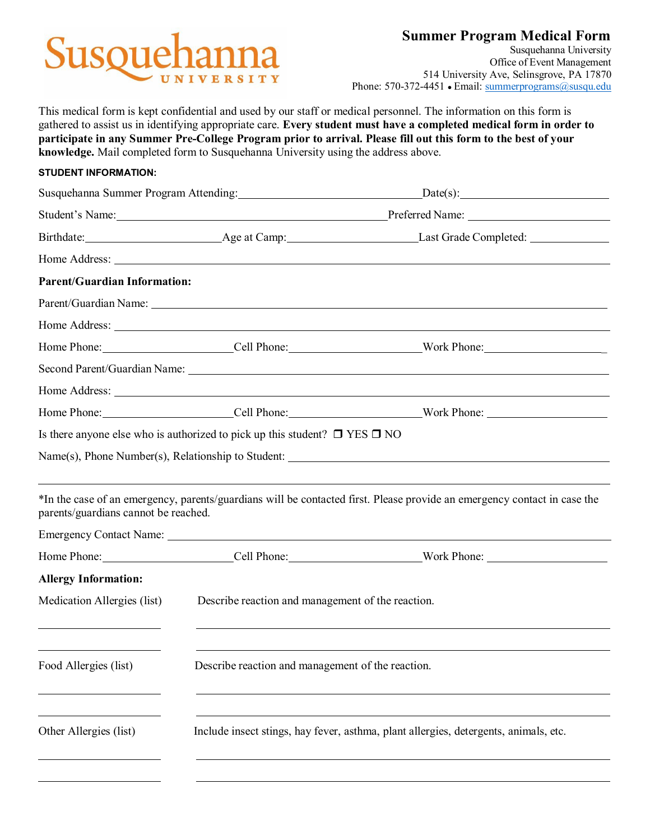# **Susque**

**Summer Program Medical Form**

Susquehanna University Office of Event Management 514 University Ave, Selinsgrove, PA 17870 Phone: 570-372-4451 • Email: [summerprograms@susqu.edu](mailto:summerprograms@susqu.edu)

This medical form is kept confidential and used by our staff or medical personnel. The information on this form is gathered to assist us in identifying appropriate care. **Every student must have a completed medical form in order to participate in any Summer Pre-College Program prior to arrival. Please fill out this form to the best of your knowledge.** Mail completed form to Susquehanna University using the address above.

### **STUDENT INFORMATION:**

|                                                    |                                                                                      | Student's Name: Preferred Name: Preferred Name:                                                                                                                                                                                |  |
|----------------------------------------------------|--------------------------------------------------------------------------------------|--------------------------------------------------------------------------------------------------------------------------------------------------------------------------------------------------------------------------------|--|
|                                                    |                                                                                      |                                                                                                                                                                                                                                |  |
|                                                    |                                                                                      |                                                                                                                                                                                                                                |  |
| <b>Parent/Guardian Information:</b>                |                                                                                      |                                                                                                                                                                                                                                |  |
|                                                    |                                                                                      | Parent/Guardian Name: 1986. The Contract of the Contract of the Contract of the Contract of the Contract of the Contract of the Contract of the Contract of the Contract of the Contract of the Contract of the Contract of th |  |
|                                                    |                                                                                      | Home Address: No. 1996. The Second Second Second Second Second Second Second Second Second Second Second Second Second Second Second Second Second Second Second Second Second Second Second Second Second Second Second Secon |  |
|                                                    |                                                                                      |                                                                                                                                                                                                                                |  |
|                                                    |                                                                                      | Second Parent/Guardian Name: 1986. The Contract of the Contract of the Contract of the Contract of the Contract of the Contract of the Contract of the Contract of the Contract of the Contract of the Contract of the Contrac |  |
|                                                    |                                                                                      | Home Address: <u>New York: 2008</u>                                                                                                                                                                                            |  |
|                                                    |                                                                                      |                                                                                                                                                                                                                                |  |
|                                                    | Is there anyone else who is authorized to pick up this student? $\Box$ YES $\Box$ NO |                                                                                                                                                                                                                                |  |
|                                                    |                                                                                      | Name(s), Phone Number(s), Relationship to Student:                                                                                                                                                                             |  |
| parents/guardians cannot be reached.               |                                                                                      | ,我们也不能会在这里,我们的人们就会在这里,我们的人们就会在这里,我们的人们就会在这里,我们的人们就会在这里,我们的人们就会在这里,我们的人们就会在这里,我们的<br>*In the case of an emergency, parents/guardians will be contacted first. Please provide an emergency contact in case the                   |  |
|                                                    |                                                                                      |                                                                                                                                                                                                                                |  |
|                                                    |                                                                                      |                                                                                                                                                                                                                                |  |
| <b>Allergy Information:</b>                        |                                                                                      |                                                                                                                                                                                                                                |  |
| Medication Allergies (list)                        | Describe reaction and management of the reaction.                                    |                                                                                                                                                                                                                                |  |
| <u> 1980 - Johann Barn, amerikansk politiker (</u> |                                                                                      | <u> 1989 - Johann Stoff, amerikansk politiker (d. 1989)</u>                                                                                                                                                                    |  |
| Food Allergies (list)                              | Describe reaction and management of the reaction.                                    |                                                                                                                                                                                                                                |  |
|                                                    |                                                                                      |                                                                                                                                                                                                                                |  |
| Other Allergies (list)                             |                                                                                      | Include insect stings, hay fever, asthma, plant allergies, detergents, animals, etc.                                                                                                                                           |  |
|                                                    |                                                                                      |                                                                                                                                                                                                                                |  |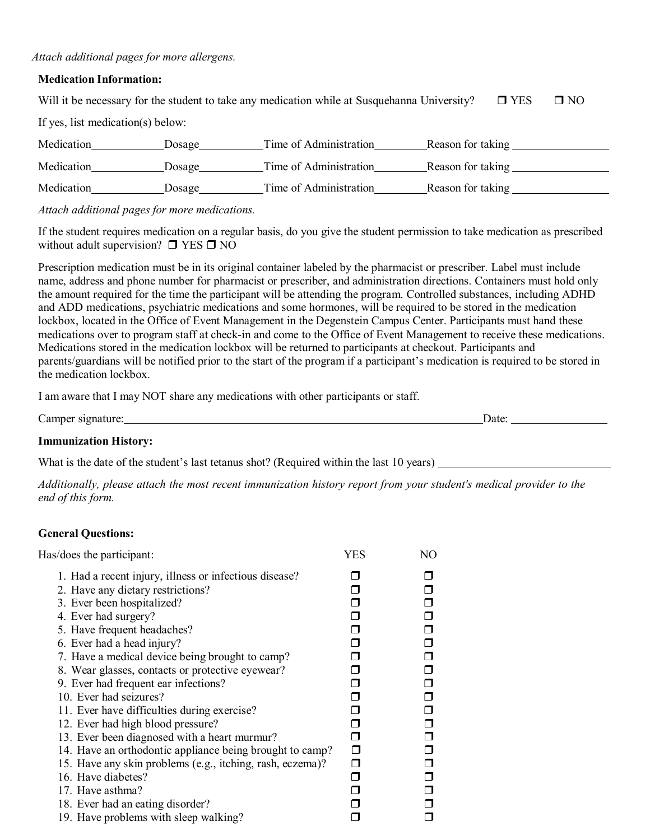#### *Attach additional pages for more allergens.*

#### **Medication Information:**

|                                   |        | Will it be necessary for the student to take any medication while at Susquehanna University? |                   | $\Box$ YES | $\Box$ NO |
|-----------------------------------|--------|----------------------------------------------------------------------------------------------|-------------------|------------|-----------|
| If yes, list medication(s) below: |        |                                                                                              |                   |            |           |
| Medication                        | Dosage | Time of Administration                                                                       | Reason for taking |            |           |
| Medication                        | Dosage | Time of Administration                                                                       | Reason for taking |            |           |
| Medication                        | Dosage | Time of Administration                                                                       | Reason for taking |            |           |

*Attach additional pages for more medications.* 

If the student requires medication on a regular basis, do you give the student permission to take medication as prescribed without adult supervision?  $\Box$  YES  $\Box$  NO

Prescription medication must be in its original container labeled by the pharmacist or prescriber. Label must include name, address and phone number for pharmacist or prescriber, and administration directions. Containers must hold only the amount required for the time the participant will be attending the program. Controlled substances, including ADHD and ADD medications, psychiatric medications and some hormones, will be required to be stored in the medication lockbox, located in the Office of Event Management in the Degenstein Campus Center. Participants must hand these medications over to program staff at check-in and come to the Office of Event Management to receive these medications. Medications stored in the medication lockbox will be returned to participants at checkout. Participants and parents/guardians will be notified prior to the start of the program if a participant's medication is required to be stored in the medication lockbox.

I am aware that I may NOT share any medications with other participants or staff.

| $\sim$<br>Camper signature: | <b>J</b> ate |  |
|-----------------------------|--------------|--|
|                             |              |  |

#### **Immunization History:**

What is the date of the student's last tetanus shot? (Required within the last 10 years)

*Additionally, please attach the most recent immunization history report from your student's medical provider to the end of this form.* 

### **General Questions:**

| Has/does the participant:                                 | <b>YES</b> | NO |
|-----------------------------------------------------------|------------|----|
| 1. Had a recent injury, illness or infectious disease?    |            |    |
| 2. Have any dietary restrictions?                         |            |    |
| 3. Ever been hospitalized?                                |            | ⊓  |
| 4. Ever had surgery?                                      |            | ⊓  |
| 5. Have frequent headaches?                               |            | ⊓  |
| 6. Ever had a head injury?                                |            | ⊓  |
| 7. Have a medical device being brought to camp?           |            | ◘  |
| 8. Wear glasses, contacts or protective eyewear?          |            | ⊓  |
| 9. Ever had frequent ear infections?                      |            | ⊓  |
| 10. Ever had seizures?                                    |            | ⊓  |
| 11. Ever have difficulties during exercise?               |            | ⊓  |
| 12. Ever had high blood pressure?                         |            |    |
| 13. Ever been diagnosed with a heart murmur?              |            |    |
| 14. Have an orthodontic appliance being brought to camp?  | ⊓          |    |
| 15. Have any skin problems (e.g., itching, rash, eczema)? | ⊓          |    |
| 16. Have diabetes?                                        |            |    |
| 17. Have asthma?                                          |            |    |
| 18. Ever had an eating disorder?                          |            |    |
| 19. Have problems with sleep walking?                     |            |    |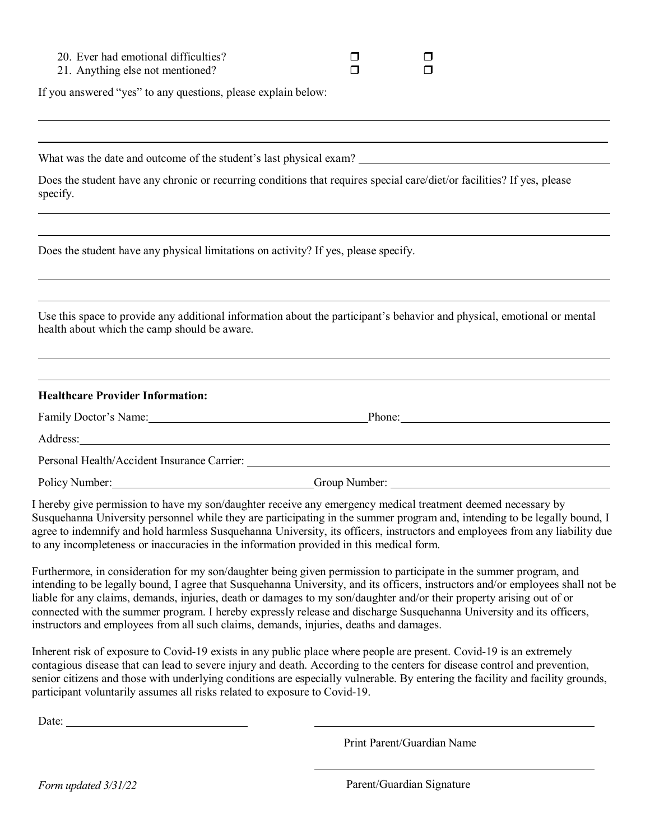| 20. Ever had emotional difficulties? |  |  |
|--------------------------------------|--|--|
|--------------------------------------|--|--|

21. Anything else not mentioned?  $\Box$ 

If you answered "yes" to any questions, please explain below:

What was the date and outcome of the student's last physical exam?

Does the student have any chronic or recurring conditions that requires special care/diet/or facilities? If yes, please specify.

Does the student have any physical limitations on activity? If yes, please specify.

Use this space to provide any additional information about the participant's behavior and physical, emotional or mental health about which the camp should be aware.

#### **Healthcare Provider Information:**

| Family Doctor's Name:                       | Phone:        |  |
|---------------------------------------------|---------------|--|
| Address:                                    |               |  |
| Personal Health/Accident Insurance Carrier: |               |  |
| Policy Number:                              | Group Number: |  |

I hereby give permission to have my son/daughter receive any emergency medical treatment deemed necessary by Susquehanna University personnel while they are participating in the summer program and, intending to be legally bound, I agree to indemnify and hold harmless Susquehanna University, its officers, instructors and employees from any liability due to any incompleteness or inaccuracies in the information provided in this medical form.

Furthermore, in consideration for my son/daughter being given permission to participate in the summer program, and intending to be legally bound, I agree that Susquehanna University, and its officers, instructors and/or employees shall not be liable for any claims, demands, injuries, death or damages to my son/daughter and/or their property arising out of or connected with the summer program. I hereby expressly release and discharge Susquehanna University and its officers, instructors and employees from all such claims, demands, injuries, deaths and damages.

Inherent risk of exposure to Covid-19 exists in any public place where people are present. Covid-19 is an extremely contagious disease that can lead to severe injury and death. According to the centers for disease control and prevention, senior citizens and those with underlying conditions are especially vulnerable. By entering the facility and facility grounds, participant voluntarily assumes all risks related to exposure to Covid-19.

Date:

Print Parent/Guardian Name